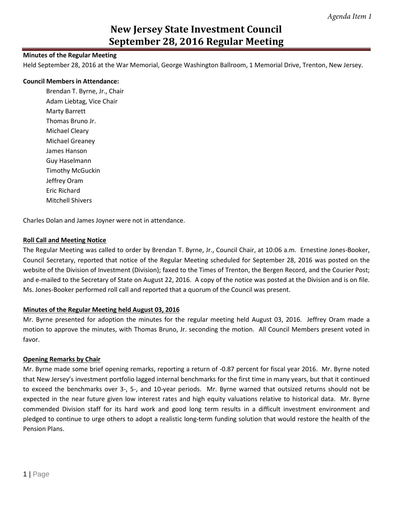### **Minutes of the Regular Meeting**

Held September 28, 2016 at the War Memorial, George Washington Ballroom, 1 Memorial Drive, Trenton, New Jersey.

#### **Council Members in Attendance:**

Brendan T. Byrne, Jr., Chair Adam Liebtag, Vice Chair Marty Barrett Thomas Bruno Jr. Michael Cleary Michael Greaney James Hanson Guy Haselmann Timothy McGuckin Jeffrey Oram Eric Richard Mitchell Shivers

Charles Dolan and James Joyner were not in attendance.

#### **Roll Call and Meeting Notice**

The Regular Meeting was called to order by Brendan T. Byrne, Jr., Council Chair, at 10:06 a.m. Ernestine Jones-Booker, Council Secretary, reported that notice of the Regular Meeting scheduled for September 28, 2016 was posted on the website of the Division of Investment (Division); faxed to the Times of Trenton, the Bergen Record, and the Courier Post; and e-mailed to the Secretary of State on August 22, 2016. A copy of the notice was posted at the Division and is on file. Ms. Jones-Booker performed roll call and reported that a quorum of the Council was present.

### **Minutes of the Regular Meeting held August 03, 2016**

Mr. Byrne presented for adoption the minutes for the regular meeting held August 03, 2016. Jeffrey Oram made a motion to approve the minutes, with Thomas Bruno, Jr. seconding the motion. All Council Members present voted in favor.

### **Opening Remarks by Chair**

Mr. Byrne made some brief opening remarks, reporting a return of -0.87 percent for fiscal year 2016. Mr. Byrne noted that New Jersey's investment portfolio lagged internal benchmarks for the first time in many years, but that it continued to exceed the benchmarks over 3-, 5-, and 10-year periods. Mr. Byrne warned that outsized returns should not be expected in the near future given low interest rates and high equity valuations relative to historical data. Mr. Byrne commended Division staff for its hard work and good long term results in a difficult investment environment and pledged to continue to urge others to adopt a realistic long-term funding solution that would restore the health of the Pension Plans.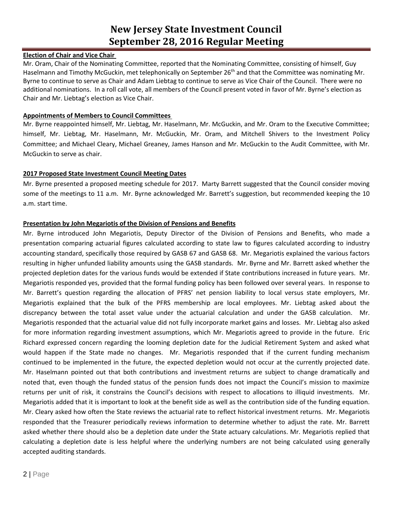## **Election of Chair and Vice Chair**

Mr. Oram, Chair of the Nominating Committee, reported that the Nominating Committee, consisting of himself, Guy Haselmann and Timothy McGuckin, met telephonically on September 26<sup>th</sup> and that the Committee was nominating Mr. Byrne to continue to serve as Chair and Adam Liebtag to continue to serve as Vice Chair of the Council. There were no additional nominations. In a roll call vote, all members of the Council present voted in favor of Mr. Byrne's election as Chair and Mr. Liebtag's election as Vice Chair.

### **Appointments of Members to Council Committees**

Mr. Byrne reappointed himself, Mr. Liebtag, Mr. Haselmann, Mr. McGuckin, and Mr. Oram to the Executive Committee; himself, Mr. Liebtag, Mr. Haselmann, Mr. McGuckin, Mr. Oram, and Mitchell Shivers to the Investment Policy Committee; and Michael Cleary, Michael Greaney, James Hanson and Mr. McGuckin to the Audit Committee, with Mr. McGuckin to serve as chair.

### **2017 Proposed State Investment Council Meeting Dates**

Mr. Byrne presented a proposed meeting schedule for 2017. Marty Barrett suggested that the Council consider moving some of the meetings to 11 a.m. Mr. Byrne acknowledged Mr. Barrett's suggestion, but recommended keeping the 10 a.m. start time.

### **Presentation by John Megariotis of the Division of Pensions and Benefits**

Mr. Byrne introduced John Megariotis, Deputy Director of the Division of Pensions and Benefits, who made a presentation comparing actuarial figures calculated according to state law to figures calculated according to industry accounting standard, specifically those required by GASB 67 and GASB 68. Mr. Megariotis explained the various factors resulting in higher unfunded liability amounts using the GASB standards. Mr. Byrne and Mr. Barrett asked whether the projected depletion dates for the various funds would be extended if State contributions increased in future years. Mr. Megariotis responded yes, provided that the formal funding policy has been followed over several years. In response to Mr. Barrett's question regarding the allocation of PFRS' net pension liability to local versus state employers, Mr. Megariotis explained that the bulk of the PFRS membership are local employees. Mr. Liebtag asked about the discrepancy between the total asset value under the actuarial calculation and under the GASB calculation. Mr. Megariotis responded that the actuarial value did not fully incorporate market gains and losses. Mr. Liebtag also asked for more information regarding investment assumptions, which Mr. Megariotis agreed to provide in the future. Eric Richard expressed concern regarding the looming depletion date for the Judicial Retirement System and asked what would happen if the State made no changes. Mr. Megariotis responded that if the current funding mechanism continued to be implemented in the future, the expected depletion would not occur at the currently projected date. Mr. Haselmann pointed out that both contributions and investment returns are subject to change dramatically and noted that, even though the funded status of the pension funds does not impact the Council's mission to maximize returns per unit of risk, it constrains the Council's decisions with respect to allocations to illiquid investments. Mr. Megariotis added that it is important to look at the benefit side as well as the contribution side of the funding equation. Mr. Cleary asked how often the State reviews the actuarial rate to reflect historical investment returns. Mr. Megariotis responded that the Treasurer periodically reviews information to determine whether to adjust the rate. Mr. Barrett asked whether there should also be a depletion date under the State actuary calculations. Mr. Megariotis replied that calculating a depletion date is less helpful where the underlying numbers are not being calculated using generally accepted auditing standards.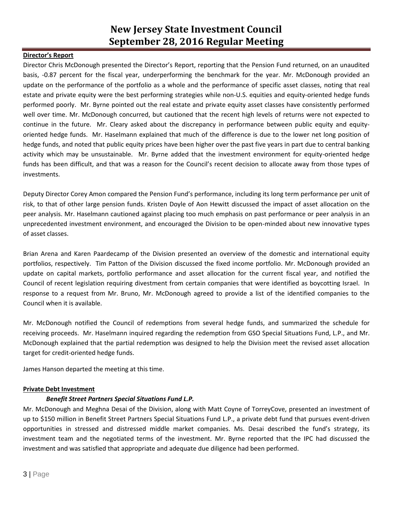## **Director's Report**

Director Chris McDonough presented the Director's Report, reporting that the Pension Fund returned, on an unaudited basis, -0.87 percent for the fiscal year, underperforming the benchmark for the year. Mr. McDonough provided an update on the performance of the portfolio as a whole and the performance of specific asset classes, noting that real estate and private equity were the best performing strategies while non-U.S. equities and equity-oriented hedge funds performed poorly. Mr. Byrne pointed out the real estate and private equity asset classes have consistently performed well over time. Mr. McDonough concurred, but cautioned that the recent high levels of returns were not expected to continue in the future. Mr. Cleary asked about the discrepancy in performance between public equity and equityoriented hedge funds. Mr. Haselmann explained that much of the difference is due to the lower net long position of hedge funds, and noted that public equity prices have been higher over the past five years in part due to central banking activity which may be unsustainable. Mr. Byrne added that the investment environment for equity-oriented hedge funds has been difficult, and that was a reason for the Council's recent decision to allocate away from those types of investments.

Deputy Director Corey Amon compared the Pension Fund's performance, including its long term performance per unit of risk, to that of other large pension funds. Kristen Doyle of Aon Hewitt discussed the impact of asset allocation on the peer analysis. Mr. Haselmann cautioned against placing too much emphasis on past performance or peer analysis in an unprecedented investment environment, and encouraged the Division to be open-minded about new innovative types of asset classes.

Brian Arena and Karen Paardecamp of the Division presented an overview of the domestic and international equity portfolios, respectively. Tim Patton of the Division discussed the fixed income portfolio. Mr. McDonough provided an update on capital markets, portfolio performance and asset allocation for the current fiscal year, and notified the Council of recent legislation requiring divestment from certain companies that were identified as boycotting Israel. In response to a request from Mr. Bruno, Mr. McDonough agreed to provide a list of the identified companies to the Council when it is available.

Mr. McDonough notified the Council of redemptions from several hedge funds, and summarized the schedule for receiving proceeds. Mr. Haselmann inquired regarding the redemption from GSO Special Situations Fund, L.P., and Mr. McDonough explained that the partial redemption was designed to help the Division meet the revised asset allocation target for credit-oriented hedge funds.

James Hanson departed the meeting at this time.

### **Private Debt Investment**

### *Benefit Street Partners Special Situations Fund L.P.*

Mr. McDonough and Meghna Desai of the Division, along with Matt Coyne of TorreyCove, presented an investment of up to \$150 million in Benefit Street Partners Special Situations Fund L.P., a private debt fund that pursues event-driven opportunities in stressed and distressed middle market companies. Ms. Desai described the fund's strategy, its investment team and the negotiated terms of the investment. Mr. Byrne reported that the IPC had discussed the investment and was satisfied that appropriate and adequate due diligence had been performed.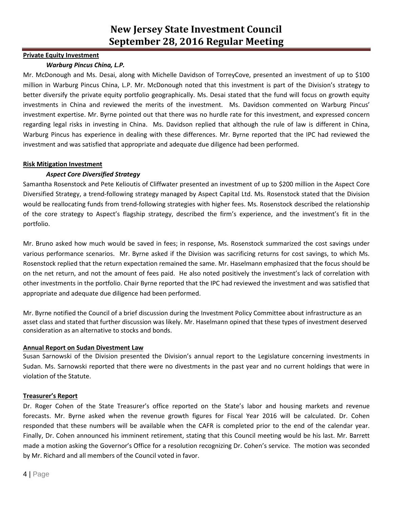### **Private Equity Investment**

## *Warburg Pincus China, L.P.*

Mr. McDonough and Ms. Desai, along with Michelle Davidson of TorreyCove, presented an investment of up to \$100 million in Warburg Pincus China, L.P. Mr. McDonough noted that this investment is part of the Division's strategy to better diversify the private equity portfolio geographically. Ms. Desai stated that the fund will focus on growth equity investments in China and reviewed the merits of the investment. Ms. Davidson commented on Warburg Pincus' investment expertise. Mr. Byrne pointed out that there was no hurdle rate for this investment, and expressed concern regarding legal risks in investing in China. Ms. Davidson replied that although the rule of law is different in China, Warburg Pincus has experience in dealing with these differences. Mr. Byrne reported that the IPC had reviewed the investment and was satisfied that appropriate and adequate due diligence had been performed.

### **Risk Mitigation Investment**

## *Aspect Core Diversified Strategy*

Samantha Rosenstock and Pete Kelioutis of Cliffwater presented an investment of up to \$200 million in the Aspect Core Diversified Strategy, a trend-following strategy managed by Aspect Capital Ltd. Ms. Rosenstock stated that the Division would be reallocating funds from trend-following strategies with higher fees. Ms. Rosenstock described the relationship of the core strategy to Aspect's flagship strategy, described the firm's experience, and the investment's fit in the portfolio.

Mr. Bruno asked how much would be saved in fees; in response, Ms. Rosenstock summarized the cost savings under various performance scenarios. Mr. Byrne asked if the Division was sacrificing returns for cost savings, to which Ms. Rosenstock replied that the return expectation remained the same. Mr. Haselmann emphasized that the focus should be on the net return, and not the amount of fees paid. He also noted positively the investment's lack of correlation with other investments in the portfolio. Chair Byrne reported that the IPC had reviewed the investment and was satisfied that appropriate and adequate due diligence had been performed.

Mr. Byrne notified the Council of a brief discussion during the Investment Policy Committee about infrastructure as an asset class and stated that further discussion was likely. Mr. Haselmann opined that these types of investment deserved consideration as an alternative to stocks and bonds.

### **Annual Report on Sudan Divestment Law**

Susan Sarnowski of the Division presented the Division's annual report to the Legislature concerning investments in Sudan. Ms. Sarnowski reported that there were no divestments in the past year and no current holdings that were in violation of the Statute.

### **Treasurer's Report**

Dr. Roger Cohen of the State Treasurer's office reported on the State's labor and housing markets and revenue forecasts. Mr. Byrne asked when the revenue growth figures for Fiscal Year 2016 will be calculated. Dr. Cohen responded that these numbers will be available when the CAFR is completed prior to the end of the calendar year. Finally, Dr. Cohen announced his imminent retirement, stating that this Council meeting would be his last. Mr. Barrett made a motion asking the Governor's Office for a resolution recognizing Dr. Cohen's service. The motion was seconded by Mr. Richard and all members of the Council voted in favor.